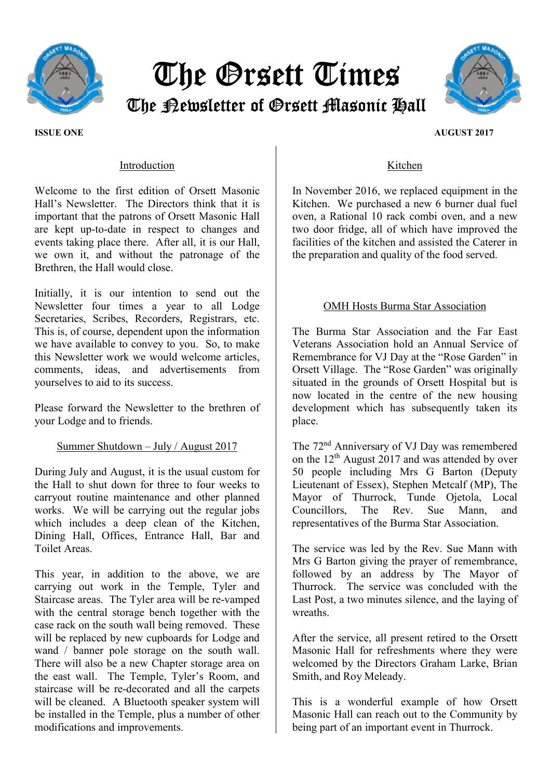

# The Orsett Times The Newsletter of Orsett Masonic Hall



#### ISSUE ONE AUGUST 2017

## Introduction

Welcome to the first edition of Orsett Masonic Hall's Newsletter. The Directors think that it is important that the patrons of Orsett Masonic Hall are kept up-to-date in respect to changes and events taking place there. After all, it is our Hall, we own it, and without the patronage of the Brethren, the Hall would close.

Initially, it is our intention to send out the Newsletter four times a year to all Lodge Secretaries, Scribes, Recorders, Registrars, etc. This is, of course, dependent upon the information we have available to convey to you. So, to make this Newsletter work we would welcome articles, comments, ideas, and advertisements from yourselves to aid to its success.

Please forward the Newsletter to the brethren of your Lodge and to friends.

### Summer Shutdown – July / August 2017

During July and August, it is the usual custom for the Hall to shut down for three to four weeks to carryout routine maintenance and other planned works. We will be carrying out the regular jobs which includes a deep clean of the Kitchen, Dining Hall, Offices, Entrance Hall, Bar and Toilet Areas.

This year, in addition to the above, we are carrying out work in the Temple, Tyler and Staircase areas. The Tyler area will be re-vamped with the central storage bench together with the case rack on the south wall being removed. These will be replaced by new cupboards for Lodge and wand / banner pole storage on the south wall. There will also be a new Chapter storage area on the east wall. The Temple, Tyler's Room, and staircase will be re-decorated and all the carpets will be cleaned. A Bluetooth speaker system will be installed in the Temple, plus a number of other modifications and improvements.

## Kitchen

In November 2016, we replaced equipment in the Kitchen. We purchased a new 6 burner dual fuel oven, a Rational 10 rack combi oven, and a new two door fridge, all of which have improved the facilities of the kitchen and assisted the Caterer in the preparation and quality of the food served.

## OMH Hosts Burma Star Association

The Burma Star Association and the Far East Veterans Association hold an Annual Service of Remembrance for VJ Day at the "Rose Garden" in Orsett Village. The "Rose Garden" was originally situated in the grounds of Orsett Hospital but is now located in the centre of the new housing development which has subsequently taken its place.

The 72nd Anniversary of VJ Day was remembered on the 12<sup>th</sup> August 2017 and was attended by over 50 people including Mrs G Barton (Deputy Lieutenant of Essex), Stephen Metcalf (MP), The Mayor of Thurrock, Tunde Ojetola, Local Councillors, The Rev. Sue Mann, and representatives of the Burma Star Association.

The service was led by the Rev. Sue Mann with Mrs G Barton giving the prayer of remembrance, followed by an address by The Mayor of Thurrock. The service was concluded with the Last Post, a two minutes silence, and the laying of wreaths.

After the service, all present retired to the Orsett Masonic Hall for refreshments where they were welcomed by the Directors Graham Larke, Brian Smith, and Roy Meleady.

This is a wonderful example of how Orsett Masonic Hall can reach out to the Community by being part of an important event in Thurrock.